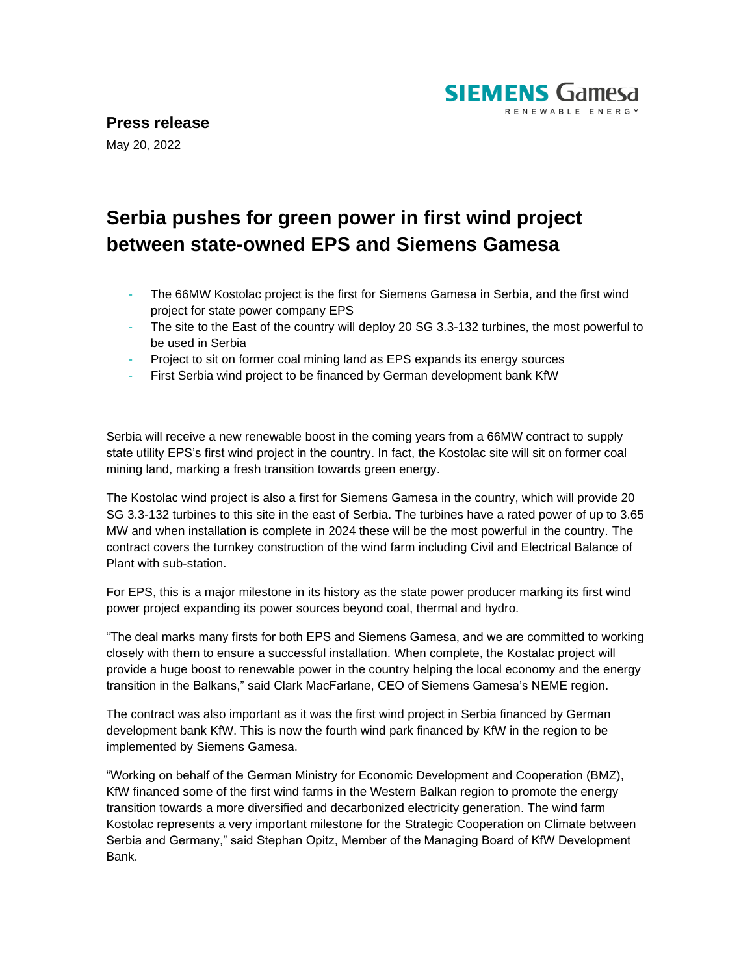

## **Press release**

May 20, 2022

## **Serbia pushes for green power in first wind project between state-owned EPS and Siemens Gamesa**

- The 66MW Kostolac project is the first for Siemens Gamesa in Serbia, and the first wind project for state power company EPS
- The site to the East of the country will deploy 20 SG 3.3-132 turbines, the most powerful to be used in Serbia
- Project to sit on former coal mining land as EPS expands its energy sources
- First Serbia wind project to be financed by German development bank KfW

Serbia will receive a new renewable boost in the coming years from a 66MW contract to supply state utility EPS's first wind project in the country. In fact, the Kostolac site will sit on former coal mining land, marking a fresh transition towards green energy.

The Kostolac wind project is also a first for Siemens Gamesa in the country, which will provide 20 SG 3.3-132 turbines to this site in the east of Serbia. The turbines have a rated power of up to 3.65 MW and when installation is complete in 2024 these will be the most powerful in the country. The contract covers the turnkey construction of the wind farm including Civil and Electrical Balance of Plant with sub-station.

For EPS, this is a major milestone in its history as the state power producer marking its first wind power project expanding its power sources beyond coal, thermal and hydro.

"The deal marks many firsts for both EPS and Siemens Gamesa, and we are committed to working closely with them to ensure a successful installation. When complete, the Kostalac project will provide a huge boost to renewable power in the country helping the local economy and the energy transition in the Balkans," said Clark MacFarlane, CEO of Siemens Gamesa's NEME region.

The contract was also important as it was the first wind project in Serbia financed by German development bank KfW. This is now the fourth wind park financed by KfW in the region to be implemented by Siemens Gamesa.

"Working on behalf of the German Ministry for Economic Development and Cooperation (BMZ), KfW financed some of the first wind farms in the Western Balkan region to promote the energy transition towards a more diversified and decarbonized electricity generation. The wind farm Kostolac represents a very important milestone for the Strategic Cooperation on Climate between Serbia and Germany," said Stephan Opitz, Member of the Managing Board of KfW Development Bank.